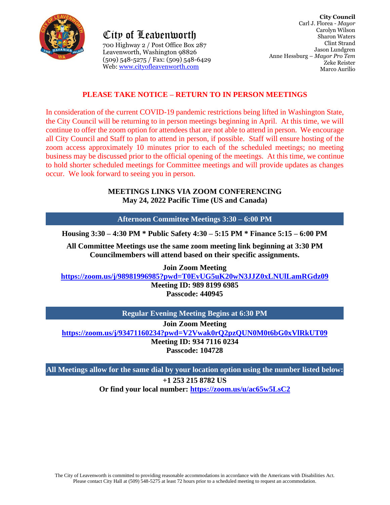

City of Leavenworth 700 Highway 2 / Post Office Box 287 Leavenworth, Washington 98826 (509) 548-5275 / Fax: (509) 548-6429 Web: [www.cityofleavenworth.com](http://www.cityofleavenworth.com/)

## **PLEASE TAKE NOTICE – RETURN TO IN PERSON MEETINGS**

In consideration of the current COVID-19 pandemic restrictions being lifted in Washington State, the City Council will be returning to in person meetings beginning in April. At this time, we will continue to offer the zoom option for attendees that are not able to attend in person. We encourage all City Council and Staff to plan to attend in person, if possible. Staff will ensure hosting of the zoom access approximately 10 minutes prior to each of the scheduled meetings; no meeting business may be discussed prior to the official opening of the meetings. At this time, we continue to hold shorter scheduled meetings for Committee meetings and will provide updates as changes occur. We look forward to seeing you in person.

#### **MEETINGS LINKS VIA ZOOM CONFERENCING May 24, 2022 Pacific Time (US and Canada)**

**Afternoon Committee Meetings 3:30 – 6:00 PM**

**Housing 3:30 – 4:30 PM \* Public Safety 4:30 – 5:15 PM \* Finance 5:15 – 6:00 PM**

**All Committee Meetings use the same zoom meeting link beginning at 3:30 PM Councilmembers will attend based on their specific assignments.**

**Join Zoom Meeting**

**<https://zoom.us/j/98981996985?pwd=T0EvUG5uK20wN3JJZ0xLNUlLamRGdz09>**

**Meeting ID: 989 8199 6985 Passcode: 440945**

**Regular Evening Meeting Begins at 6:30 PM**

**Join Zoom Meeting**

**<https://zoom.us/j/93471160234?pwd=V2Vwak0rQ2pzQUN0M0t6bG0xVlRkUT09>**

**Meeting ID: 934 7116 0234**

**Passcode: 104728**

**All Meetings allow for the same dial by your location option using the number listed below:**

**+1 253 215 8782 US**

**Or find your local number:<https://zoom.us/u/ac65w5LsC2>**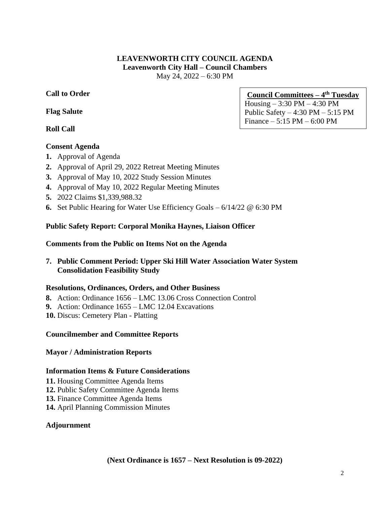#### **LEAVENWORTH CITY COUNCIL AGENDA Leavenworth City Hall – Council Chambers** May 24, 2022 – 6:30 PM

## **Call to Order**

## **Flag Salute**

## **Roll Call**

### **Consent Agenda**

- **1.** Approval of Agenda
- **2.** Approval of April 29, 2022 Retreat Meeting Minutes
- **3.** Approval of May 10, 2022 Study Session Minutes
- **4.** Approval of May 10, 2022 Regular Meeting Minutes
- **5.** 2022 Claims \$1,339,988.32
- **6.** Set Public Hearing for Water Use Efficiency Goals 6/14/22 @ 6:30 PM

## **Public Safety Report: Corporal Monika Haynes, Liaison Officer**

### **Comments from the Public on Items Not on the Agenda**

**7. Public Comment Period: Upper Ski Hill Water Association Water System Consolidation Feasibility Study**

### **Resolutions, Ordinances, Orders, and Other Business**

- **8.** Action: Ordinance 1656 LMC 13.06 Cross Connection Control
- **9.** Action: Ordinance 1655 LMC 12.04 Excavations
- **10.** Discus: Cemetery Plan Platting

### **Councilmember and Committee Reports**

### **Mayor / Administration Reports**

#### **Information Items & Future Considerations**

- **11.** Housing Committee Agenda Items
- **12.** Public Safety Committee Agenda Items
- **13.** Finance Committee Agenda Items
- **14.** April Planning Commission Minutes

### **Adjournment**

#### **Council Committees – 4 th Tuesday** Housing – 3:30 PM – 4:30 PM Public Safety – 4:30 PM – 5:15 PM Finance – 5:15 PM – 6:00 PM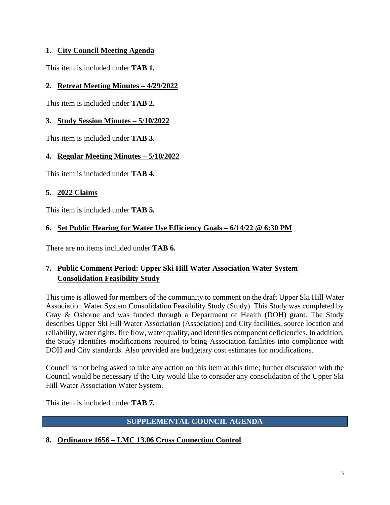## **1. City Council Meeting Agenda**

This item is included under **TAB 1.**

## **2. Retreat Meeting Minutes – 4/29/2022**

This item is included under **TAB 2.** 

## **3. Study Session Minutes – 5/10/2022**

This item is included under **TAB 3.** 

## **4. Regular Meeting Minutes – 5/10/2022**

This item is included under **TAB 4.**

## **5. 2022 Claims**

This item is included under **TAB 5.**

# **6. Set Public Hearing for Water Use Efficiency Goals – 6/14/22 @ 6:30 PM**

There are no items included under **TAB 6.**

# **7. Public Comment Period: Upper Ski Hill Water Association Water System Consolidation Feasibility Study**

This time is allowed for members of the community to comment on the draft Upper Ski Hill Water Association Water System Consolidation Feasibility Study (Study). This Study was completed by Gray & Osborne and was funded through a Department of Health (DOH) grant. The Study describes Upper Ski Hill Water Association (Association) and City facilities, source location and reliability, water rights, fire flow, water quality, and identifies component deficiencies. In addition, the Study identifies modifications required to bring Association facilities into compliance with DOH and City standards. Also provided are budgetary cost estimates for modifications.

Council is not being asked to take any action on this item at this time; further discussion with the Council would be necessary if the City would like to consider any consolidation of the Upper Ski Hill Water Association Water System.

This item is included under **TAB 7.**

# **SUPPLEMENTAL COUNCIL AGENDA**

# **8. Ordinance 1656 – LMC 13.06 Cross Connection Control**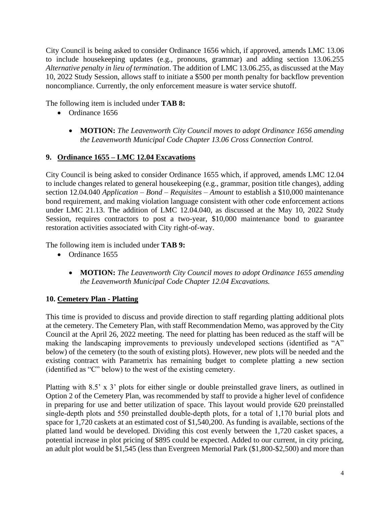City Council is being asked to consider Ordinance 1656 which, if approved, amends LMC 13.06 to include housekeeping updates (e.g., pronouns, grammar) and adding section 13.06.255 *Alternative penalty in lieu of termination*. The addition of LMC 13.06.255, as discussed at the May 10, 2022 Study Session, allows staff to initiate a \$500 per month penalty for backflow prevention noncompliance. Currently, the only enforcement measure is water service shutoff.

The following item is included under **TAB 8:**

- Ordinance 1656
	- **MOTION:** *The Leavenworth City Council moves to adopt Ordinance 1656 amending the Leavenworth Municipal Code Chapter 13.06 Cross Connection Control.*

## **9. Ordinance 1655 – LMC 12.04 Excavations**

City Council is being asked to consider Ordinance 1655 which, if approved, amends LMC 12.04 to include changes related to general housekeeping (e.g., grammar, position title changes), adding section 12.04.040 *Application – Bond – Requisites – Amount* to establish a \$10,000 maintenance bond requirement, and making violation language consistent with other code enforcement actions under LMC 21.13. The addition of LMC 12.04.040, as discussed at the May 10, 2022 Study Session, requires contractors to post a two-year, \$10,000 maintenance bond to guarantee restoration activities associated with City right-of-way.

The following item is included under **TAB 9:**

- Ordinance 1655
	- **MOTION:** *The Leavenworth City Council moves to adopt Ordinance 1655 amending the Leavenworth Municipal Code Chapter 12.04 Excavations.*

# **10. Cemetery Plan - Platting**

This time is provided to discuss and provide direction to staff regarding platting additional plots at the cemetery. The Cemetery Plan, with staff Recommendation Memo, was approved by the City Council at the April 26, 2022 meeting. The need for platting has been reduced as the staff will be making the landscaping improvements to previously undeveloped sections (identified as "A" below) of the cemetery (to the south of existing plots). However, new plots will be needed and the existing contract with Parametrix has remaining budget to complete platting a new section (identified as "C" below) to the west of the existing cemetery.

Platting with 8.5' x 3' plots for either single or double preinstalled grave liners, as outlined in Option 2 of the Cemetery Plan, was recommended by staff to provide a higher level of confidence in preparing for use and better utilization of space. This layout would provide 620 preinstalled single‐depth plots and 550 preinstalled double‐depth plots, for a total of 1,170 burial plots and space for 1,720 caskets at an estimated cost of \$1,540,200. As funding is available, sections of the platted land would be developed. Dividing this cost evenly between the 1,720 casket spaces, a potential increase in plot pricing of \$895 could be expected. Added to our current, in city pricing, an adult plot would be \$1,545 (less than Evergreen Memorial Park (\$1,800-\$2,500) and more than